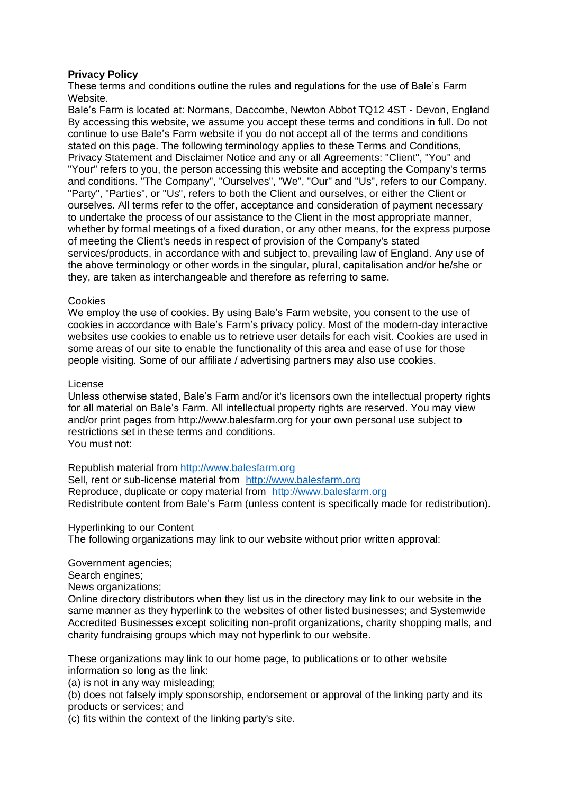# **Privacy Policy**

These terms and conditions outline the rules and regulations for the use of Bale's Farm Website.

Bale's Farm is located at: Normans, Daccombe, Newton Abbot TQ12 4ST - Devon, England By accessing this website, we assume you accept these terms and conditions in full. Do not continue to use Bale's Farm website if you do not accept all of the terms and conditions stated on this page. The following terminology applies to these Terms and Conditions, Privacy Statement and Disclaimer Notice and any or all Agreements: "Client", "You" and "Your" refers to you, the person accessing this website and accepting the Company's terms and conditions. "The Company", "Ourselves", "We", "Our" and "Us", refers to our Company. "Party", "Parties", or "Us", refers to both the Client and ourselves, or either the Client or ourselves. All terms refer to the offer, acceptance and consideration of payment necessary to undertake the process of our assistance to the Client in the most appropriate manner, whether by formal meetings of a fixed duration, or any other means, for the express purpose of meeting the Client's needs in respect of provision of the Company's stated services/products, in accordance with and subject to, prevailing law of England. Any use of the above terminology or other words in the singular, plural, capitalisation and/or he/she or they, are taken as interchangeable and therefore as referring to same.

# Cookies

We employ the use of cookies. By using Bale's Farm website, you consent to the use of cookies in accordance with Bale's Farm's privacy policy. Most of the modern-day interactive websites use cookies to enable us to retrieve user details for each visit. Cookies are used in some areas of our site to enable the functionality of this area and ease of use for those people visiting. Some of our affiliate / advertising partners may also use cookies.

#### License

Unless otherwise stated, Bale's Farm and/or it's licensors own the intellectual property rights for all material on Bale's Farm. All intellectual property rights are reserved. You may view and/or print pages from http://www.balesfarm.org for your own personal use subject to restrictions set in these terms and conditions. You must not:

Republish material from [http://www.balesfarm.org](http://www.balesfarm.org/)

Sell, rent or sub-license material from [http://www.balesfarm.org](http://www.balesfarm.org/) Reproduce, duplicate or copy material from [http://www.balesfarm.org](http://www.balesfarm.org/) Redistribute content from Bale's Farm (unless content is specifically made for redistribution).

Hyperlinking to our Content

The following organizations may link to our website without prior written approval:

Government agencies;

Search engines:

News organizations;

Online directory distributors when they list us in the directory may link to our website in the same manner as they hyperlink to the websites of other listed businesses; and Systemwide Accredited Businesses except soliciting non-profit organizations, charity shopping malls, and charity fundraising groups which may not hyperlink to our website.

These organizations may link to our home page, to publications or to other website information so long as the link:

(a) is not in any way misleading;

(b) does not falsely imply sponsorship, endorsement or approval of the linking party and its products or services; and

(c) fits within the context of the linking party's site.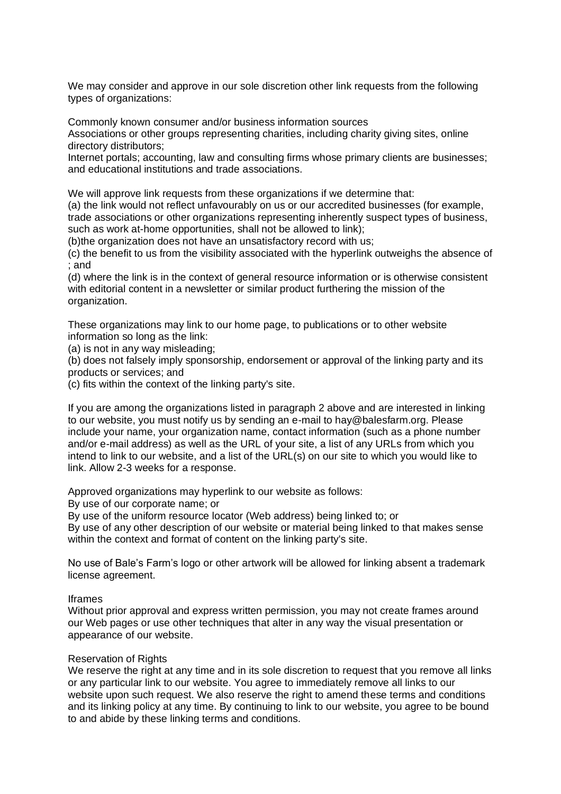We may consider and approve in our sole discretion other link requests from the following types of organizations:

Commonly known consumer and/or business information sources

Associations or other groups representing charities, including charity giving sites, online directory distributors;

Internet portals; accounting, law and consulting firms whose primary clients are businesses; and educational institutions and trade associations.

We will approve link requests from these organizations if we determine that:

(a) the link would not reflect unfavourably on us or our accredited businesses (for example, trade associations or other organizations representing inherently suspect types of business, such as work at-home opportunities, shall not be allowed to link);

(b)the organization does not have an unsatisfactory record with us;

(c) the benefit to us from the visibility associated with the hyperlink outweighs the absence of ; and

(d) where the link is in the context of general resource information or is otherwise consistent with editorial content in a newsletter or similar product furthering the mission of the organization.

These organizations may link to our home page, to publications or to other website information so long as the link:

(a) is not in any way misleading;

(b) does not falsely imply sponsorship, endorsement or approval of the linking party and its products or services; and

(c) fits within the context of the linking party's site.

If you are among the organizations listed in paragraph 2 above and are interested in linking to our website, you must notify us by sending an e-mail to hay@balesfarm.org. Please include your name, your organization name, contact information (such as a phone number and/or e-mail address) as well as the URL of your site, a list of any URLs from which you intend to link to our website, and a list of the URL(s) on our site to which you would like to link. Allow 2-3 weeks for a response.

Approved organizations may hyperlink to our website as follows:

By use of our corporate name; or

By use of the uniform resource locator (Web address) being linked to; or

By use of any other description of our website or material being linked to that makes sense within the context and format of content on the linking party's site.

No use of Bale's Farm's logo or other artwork will be allowed for linking absent a trademark license agreement.

#### Iframes

Without prior approval and express written permission, you may not create frames around our Web pages or use other techniques that alter in any way the visual presentation or appearance of our website.

#### Reservation of Rights

We reserve the right at any time and in its sole discretion to request that you remove all links or any particular link to our website. You agree to immediately remove all links to our website upon such request. We also reserve the right to amend these terms and conditions and its linking policy at any time. By continuing to link to our website, you agree to be bound to and abide by these linking terms and conditions.